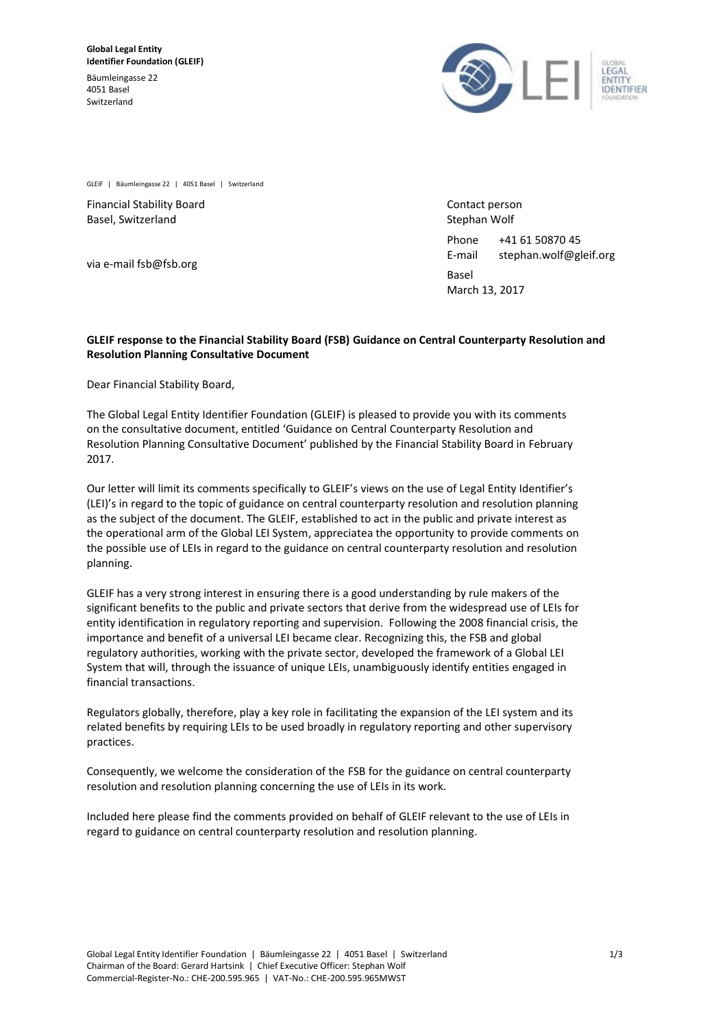Bäumleingasse 22 4051 Basel Switzerland



GLEIF | Bäumleingasse 22 | 4051 Basel | Switzerland

Financial Stability Board Basel, Switzerland

via e-mail fsb@fsb.org

Contact person Stephan Wolf

Phone +41 61 50870 45 E-mail stephan.wolf@gleif.org Basel

March 13, 2017

## **GLEIF response to the Financial Stability Board (FSB) Guidance on Central Counterparty Resolution and Resolution Planning Consultative Document**

Dear Financial Stability Board,

The Global Legal Entity Identifier Foundation (GLEIF) is pleased to provide you with its comments on the consultative document, entitled 'Guidance on Central Counterparty Resolution and Resolution Planning Consultative Document' published by the Financial Stability Board in February 2017.

Our letter will limit its comments specifically to GLEIF's views on the use of Legal Entity Identifier's (LEI)'s in regard to the topic of guidance on central counterparty resolution and resolution planning as the subject of the document. The GLEIF, established to act in the public and private interest as the operational arm of the Global LEI System, appreciatea the opportunity to provide comments on the possible use of LEIs in regard to the guidance on central counterparty resolution and resolution planning.

GLEIF has a very strong interest in ensuring there is a good understanding by rule makers of the significant benefits to the public and private sectors that derive from the widespread use of LEIs for entity identification in regulatory reporting and supervision. Following the 2008 financial crisis, the importance and benefit of a universal LEI became clear. Recognizing this, the FSB and global regulatory authorities, working with the private sector, developed the framework of a Global LEI System that will, through the issuance of unique LEIs, unambiguously identify entities engaged in financial transactions.

Regulators globally, therefore, play a key role in facilitating the expansion of the LEI system and its related benefits by requiring LEIs to be used broadly in regulatory reporting and other supervisory practices.

Consequently, we welcome the consideration of the FSB for the guidance on central counterparty resolution and resolution planning concerning the use of LEIs in its work.

Included here please find the comments provided on behalf of GLEIF relevant to the use of LEIs in regard to guidance on central counterparty resolution and resolution planning.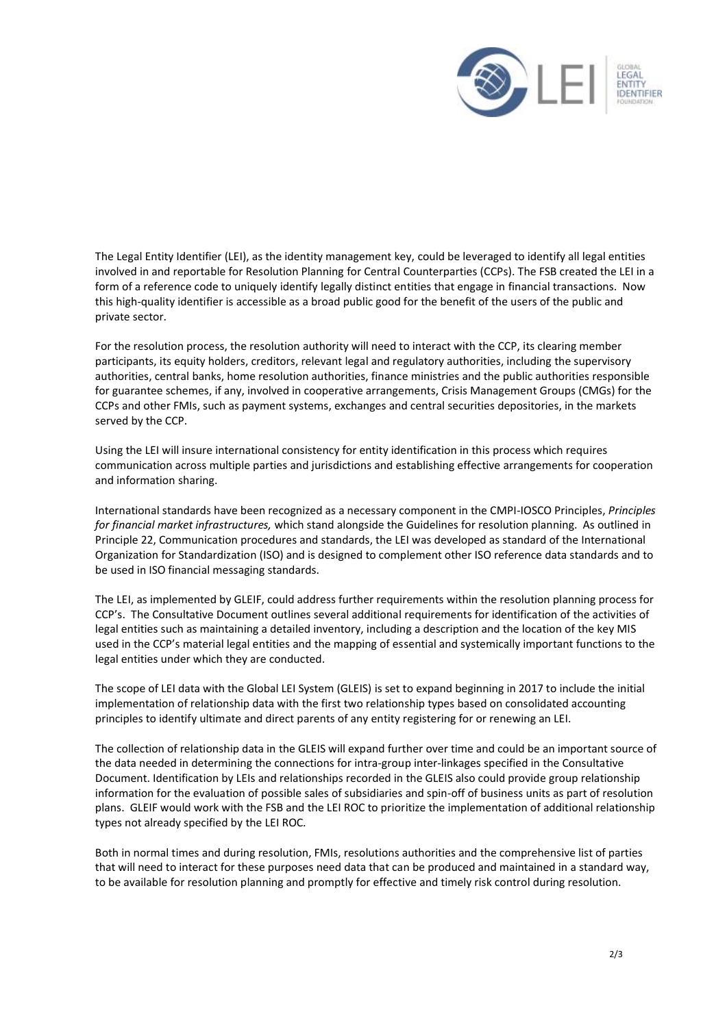

The Legal Entity Identifier (LEI), as the identity management key, could be leveraged to identify all legal entities involved in and reportable for Resolution Planning for Central Counterparties (CCPs). The FSB created the LEI in a form of a reference code to uniquely identify legally distinct entities that engage in financial transactions. Now this high-quality identifier is accessible as a broad public good for the benefit of the users of the public and private sector.

For the resolution process, the resolution authority will need to interact with the CCP, its clearing member participants, its equity holders, creditors, relevant legal and regulatory authorities, including the supervisory authorities, central banks, home resolution authorities, finance ministries and the public authorities responsible for guarantee schemes, if any, involved in cooperative arrangements, Crisis Management Groups (CMGs) for the CCPs and other FMIs, such as payment systems, exchanges and central securities depositories, in the markets served by the CCP.

Using the LEI will insure international consistency for entity identification in this process which requires communication across multiple parties and jurisdictions and establishing effective arrangements for cooperation and information sharing.

International standards have been recognized as a necessary component in the CMPI-IOSCO Principles, *Principles for financial market infrastructures,* which stand alongside the Guidelines for resolution planning. As outlined in Principle 22, Communication procedures and standards, the LEI was developed as standard of the International Organization for Standardization (ISO) and is designed to complement other ISO reference data standards and to be used in ISO financial messaging standards.

The LEI, as implemented by GLEIF, could address further requirements within the resolution planning process for CCP's. The Consultative Document outlines several additional requirements for identification of the activities of legal entities such as maintaining a detailed inventory, including a description and the location of the key MIS used in the CCP's material legal entities and the mapping of essential and systemically important functions to the legal entities under which they are conducted.

The scope of LEI data with the Global LEI System (GLEIS) is set to expand beginning in 2017 to include the initial implementation of relationship data with the first two relationship types based on consolidated accounting principles to identify ultimate and direct parents of any entity registering for or renewing an LEI.

The collection of relationship data in the GLEIS will expand further over time and could be an important source of the data needed in determining the connections for intra-group inter-linkages specified in the Consultative Document. Identification by LEIs and relationships recorded in the GLEIS also could provide group relationship information for the evaluation of possible sales of subsidiaries and spin-off of business units as part of resolution plans. GLEIF would work with the FSB and the LEI ROC to prioritize the implementation of additional relationship types not already specified by the LEI ROC.

Both in normal times and during resolution, FMIs, resolutions authorities and the comprehensive list of parties that will need to interact for these purposes need data that can be produced and maintained in a standard way, to be available for resolution planning and promptly for effective and timely risk control during resolution.